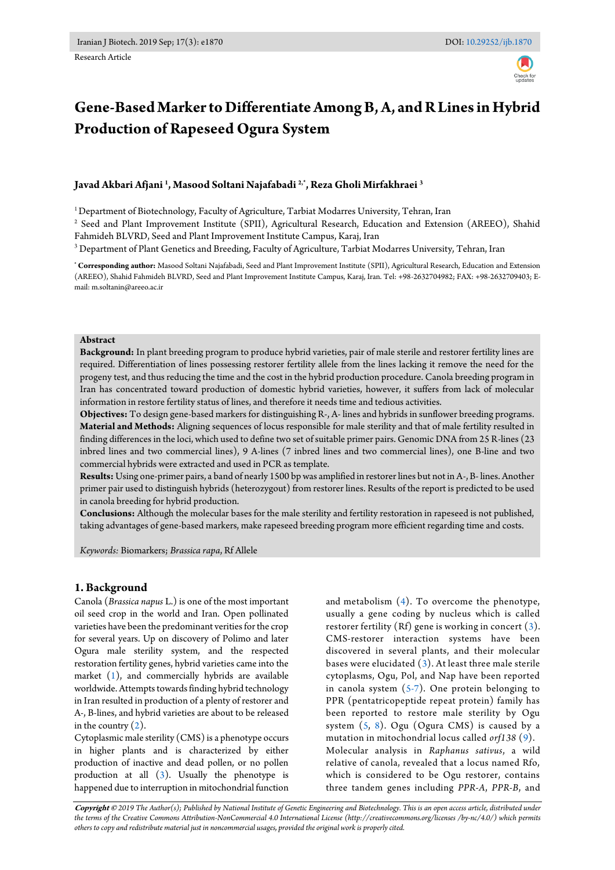Research Article

# **Gene-Based Marker to Differentiate Among B, A, and R Lines in Hybrid Production of Rapeseed Ogura System**

# **Javad Akbari Afjani <sup>1</sup> , Masood Soltani Najafabadi 2,\*, Reza Gholi Mirfakhraei <sup>3</sup>**

<sup>1</sup> Department of Biotechnology, Faculty of Agriculture, Tarbiat Modarres University, Tehran, Iran

2 Seed and Plant Improvement Institute (SPII), Agricultural Research, Education and Extension (AREEO), Shahid Fahmideh BLVRD, Seed and Plant Improvement Institute Campus, Karaj, Iran

 $^3$  Department of Plant Genetics and Breeding, Faculty of Agriculture, Tarbiat Modarres University, Tehran, Iran

**\* Corresponding author:** Masood Soltani Najafabadi, Seed and Plant Improvement Institute (SPII), Agricultural Research, Education and Extension (AREEO), Shahid Fahmideh BLVRD, Seed and Plant Improvement Institute Campus, Karaj, Iran. Tel: +98-2632704982; FAX: +98-2632709403; Email: m.soltanin@areeo.ac.ir

#### **Abstract**

**Background:** In plant breeding program to produce hybrid varieties, pair of male sterile and restorer fertility lines are required. Differentiation of lines possessing restorer fertility allele from the lines lacking it remove the need for the progeny test, and thus reducing the time and the cost in the hybrid production procedure. Canola breeding program in Iran has concentrated toward production of domestic hybrid varieties, however, it suffers from lack of molecular information in restore fertility status of lines, and therefore it needs time and tedious activities.

**Objectives:** To design gene-based markers for distinguishing R-, A- lines and hybrids in sunflower breeding programs. **Material and Methods:** Aligning sequences of locus responsible for male sterility and that of male fertility resulted in finding differences in the loci, which used to define two set of suitable primer pairs. Genomic DNA from 25 R-lines (23 inbred lines and two commercial lines), 9 A-lines (7 inbred lines and two commercial lines), one B-line and two commercial hybrids were extracted and used in PCR as template.

**Results:** Using one-primer pairs, a band of nearly 1500 bp was amplified in restorer lines but not in A-, B- lines. Another primer pair used to distinguish hybrids (heterozygout) from restorer lines. Results of the report is predicted to be used in canola breeding for hybrid production.

**Conclusions:** Although the molecular bases for the male sterility and fertility restoration in rapeseed is not published, taking advantages of gene-based markers, make rapeseed breeding program more efficient regarding time and costs.

*Keywords:* Biomarkers; *Brassica rapa*, Rf Allele

# **1. Background**

Canola (*Brassica napus* L.) is one of the most important oil seed crop in the world and Iran. Open pollinated varieties have been the predominant verities for the crop for several years. Up on discovery of Polimo and later Ogura male sterility system, and the respected restoration fertility genes, hybrid varieties came into the market [\(1\)](#page-3-0), and commercially hybrids are available worldwide. Attempts towards finding hybrid technology in Iran resulted in production of a plenty of restorer and A-, B-lines, and hybrid varieties are about to be released in the country  $(2)$ .

Cytoplasmic male sterility (CMS) is a phenotype occurs in higher plants and is characterized by either production of inactive and dead pollen, or no pollen production at all [\(3\)](#page-3-2). Usually the phenotype is happened due to interruption in mitochondrial function

and metabolism [\(4\)](#page-3-3). To overcome the phenotype, usually a gene coding by nucleus which is called restorer fertility (Rf) gene is working in concert [\(3\)](#page-3-2). CMS-restorer interaction systems have been discovered in several plants, and their molecular bases were elucidated [\(3\)](#page-3-2). At least three male sterile cytoplasms, Ogu, Pol, and Nap have been reported in canola system  $(5-7)$ . One protein belonging to PPR (pentatricopeptide repeat protein) family has been reported to restore male sterility by Ogu system [\(5,](#page-3-4) [8\)](#page-3-5). Ogu (Ogura CMS) is caused by a mutation in mitochondrial locus called *orf138* [\(9\)](#page-3-6). Molecular analysis in *Raphanus sativus*, a wild relative of canola, revealed that a locus named Rfo, which is considered to be Ogu restorer, contains three tandem genes including *PPR-A*, *PPR-B*, and

**Copyright ©** *2019 The Author(s); Published by National Institute of Genetic Engineering and Biotechnology. This is an open access article, distributed under the terms of the Creative Commons Attribution-NonCommercial 4.0 International License (http://creativecommons.org/licenses /by-nc/4.0/) which permits others to copy and redistribute material just in noncommercial usages, provided the original work is properly cited.*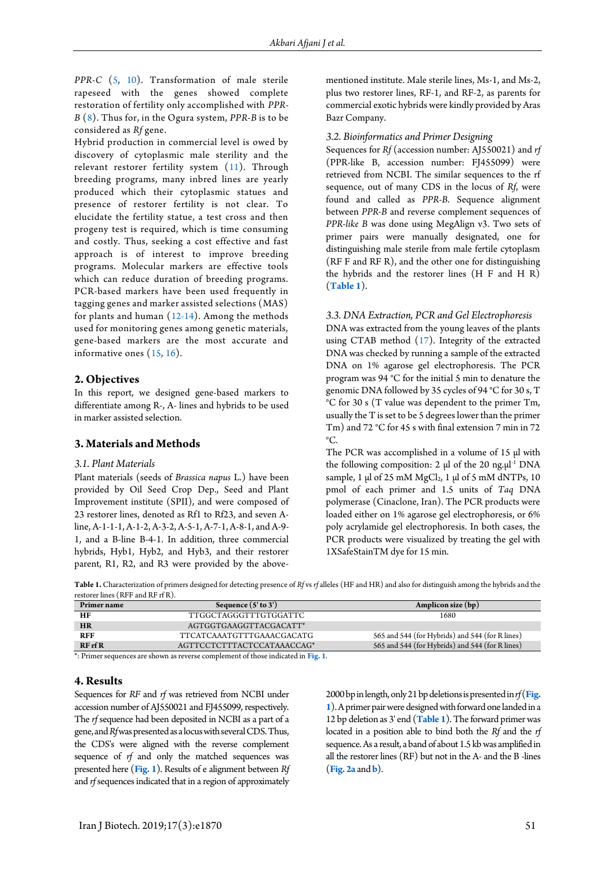*PPR-C* [\(5,](#page-3-4) [10\)](#page-3-7). Transformation of male sterile rapeseed with the genes showed complete restoration of fertility only accomplished with *PPR-B* [\(8\)](#page-3-5). Thus for, in the Ogura system, *PPR-B* is to be considered as *Rf* gene.

Hybrid production in commercial level is owed by discovery of cytoplasmic male sterility and the relevant restorer fertility system [\(11\)](#page-3-8). Through breeding programs, many inbred lines are yearly produced which their cytoplasmic statues and presence of restorer fertility is not clear. To elucidate the fertility statue, a test cross and then progeny test is required, which is time consuming and costly. Thus, seeking a cost effective and fast approach is of interest to improve breeding programs. Molecular markers are effective tools which can reduce duration of breeding programs. PCR-based markers have been used frequently in tagging genes and marker assisted selections (MAS) for plants and human [\(12-14\)](#page-3-9). Among the methods used for monitoring genes among genetic materials, gene-based markers are the most accurate and informative ones [\(15,](#page-4-0) [16\)](#page-4-1).

# **2. Objectives**

In this report, we designed gene-based markers to differentiate among R-, A- lines and hybrids to be used in marker assisted selection.

# **3. Materials and Methods**

#### *3.1. Plant Materials*

Plant materials (seeds of *Brassica napus* L.) have been provided by Oil Seed Crop Dep., Seed and Plant Improvement institute (SPII), and were composed of 23 restorer lines, denoted as Rf1 to Rf23, and seven Aline, A-1-1-1, A-1-2, A-3-2, A-5-1, A-7-1, A-8-1, and A-9- 1, and a B-line B-4-1. In addition, three commercial hybrids, Hyb1, Hyb2, and Hyb3, and their restorer parent, R1, R2, and R3 were provided by the abovementioned institute. Male sterile lines, Ms-1, and Ms-2, plus two restorer lines, RF-1, and RF-2, as parents for commercial exotic hybrids were kindly provided by Aras Bazr Company.

### *3.2. Bioinformatics and Primer Designing*

Sequences for *Rf* (accession number: AJ550021) and *rf* (PPR-like B, accession number: FJ455099) were retrieved from NCBI. The similar sequences to the rf sequence, out of many CDS in the locus of *Rf*, were found and called as *PPR-B*. Sequence alignment between *PPR-B* and reverse complement sequences of *PPR-like B* was done using MegAlign v3. Two sets of primer pairs were manually designated, one for distinguishing male sterile from male fertile cytoplasm (RF F and RF R), and the other one for distinguishing the hybrids and the restorer lines (H F and H R) (**[Table 1](#page-1-0)**).

#### *3.3. DNA Extraction, PCR and Gel Electrophoresis*

DNA was extracted from the young leaves of the plants using CTAB method [\(17\)](#page-4-2). Integrity of the extracted DNA was checked by running a sample of the extracted DNA on 1% agarose gel electrophoresis. The PCR program was 94 °C for the initial 5 min to denature the genomic DNA followed by 35 cycles of 94 °C for 30 s, T °C for 30 s (T value was dependent to the primer Tm, usually the T is set to be 5 degrees lower than the primer Tm) and 72 °C for 45 s with final extension 7 min in 72  $^{\circ}C$ .

The PCR was accomplished in a volume of 15  $\mu$ l with the following composition:  $2 \mu$  of the  $20 \text{ ng.} \mu$ <sup>1</sup> DNA sample, 1  $\mu$ l of 25 mM MgCl<sub>2</sub>, 1  $\mu$ l of 5 mM dNTPs, 10 pmol of each primer and 1.5 units of *Taq* DNA polymerase (Cinaclone, Iran). The PCR products were loaded either on 1% agarose gel electrophoresis, or 6% poly acrylamide gel electrophoresis. In both cases, the PCR products were visualized by treating the gel with 1XSafeStainTM dye for 15 min.

<span id="page-1-0"></span>**Table 1.** Characterization of primers designed for detecting presence of *Rf* vs *rf* alleles (HF and HR) and also for distinguish among the hybrids and the restorer lines (RFF and RF rf R).

| Primer name | Sequence $(5'$ to $3')$    | Amplicon size (bp)                              |
|-------------|----------------------------|-------------------------------------------------|
| HF          | TTGGCTAGGGTTTGTGGATTC      | 1680                                            |
| <b>HR</b>   | AGTGGTGAAGGTTACGACATT*     |                                                 |
| <b>RFF</b>  | TTCATCAAATGTTTGAAACGACATG  | 565 and 544 (for Hybrids) and 544 (for R lines) |
| $RF$ rf $R$ | AGTTCCTCTTTACTCCATAAACCAG* | 565 and 544 (for Hybrids) and 544 (for R lines) |

\*: Primer sequences are shown as reverse complement of those indicated in **[Fig. 1](#page-2-0)**.

#### **4. Results**

Sequences for *RF* and *rf* was retrieved from NCBI under accession number of AJ550021 and FJ455099, respectively. The *rf* sequence had been deposited in NCBI as a part of a gene, and *Rf*was presented as a locus with several CDS. Thus, the CDS's were aligned with the reverse complement sequence of *rf* and only the matched sequences was presented here (**[Fig. 1](#page-2-0)**). Results of e alignment between *Rf* and *rf*sequences indicated that in a region of approximately <span id="page-1-1"></span>2000 bp in length, only 21 bp deletions is presented in *rf*(**[Fig.](#page-2-0)  [1](#page-2-0)**).A primer pair were designed with forward one landed in a 12 bp deletion as 3' end (**[Table 1](#page-1-0)**). The forward primer was located in a position able to bind both the *Rf* and the *rf* sequence. As a result, a band of about 1.5 kb was amplified in all the restorer lines (RF) but not in the A- and the B -lines (**[Fig. 2a](#page-1-1)** and **[b](#page-1-1)**).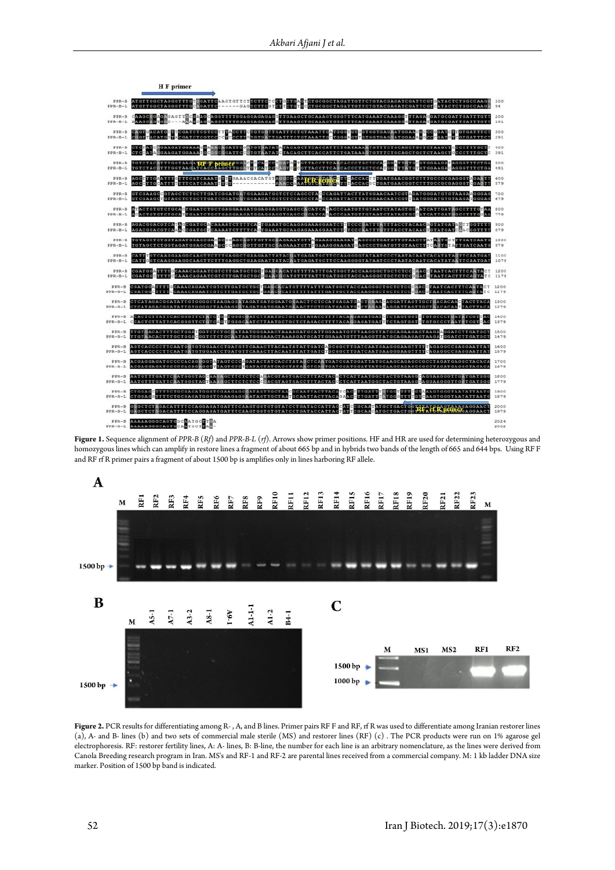<span id="page-2-0"></span>

| H F primer                                                                                                                                                                                                                                           |                       |              |
|------------------------------------------------------------------------------------------------------------------------------------------------------------------------------------------------------------------------------------------------------|-----------------------|--------------|
| ATGTTGGCTAGGGTTTGTGGATTCAAGTGTTCTTCTTCTCCT<br>GCTGAGTCTGCGGCTAGATTGTTCTGTACGAGATCGATTCGTGATACTCTGGCCAAGE<br>TCTGTGCCTGCGGCTAGATTGTTCTGTACGAGATCGATTCGTCATACTCTGGCCAAGA<br>$PPR-B$<br>---GACTCTTCCTCT<br>ATGTTGGCTAGGGTTTGGAGATTC<br>$PPR - B - L$    |                       | 100<br>94    |
| $PPR-B$<br>$PPR-B-L$                                                                                                                                                                                                                                 |                       | 191          |
| CNGTGACATGCTTCGATCTCGTCCTTHACCTTCTGTTCATTTCTGTAAATTGATGGGTGTGGTGGTGAGAATGGAAGGCCGGATCTTGTGATTTCT<br>CGGTTACATGGTACGATCTCGTCGCCHCCCTTGFGTGATTCATTTCTGTAAATTGCTGGGAGTTGTGGTGAGGATGGAAAGGCCCGATGFCGTGATTTCT<br>$PPR - B$<br>$PPR-B-L$                   |                       | 300<br>291   |
| TCTATCMGAAGAIGGAAAGGAAACAGAIICGAIGITGIGAIAIATAGAGCIICACCAIICIGAIAAAAIGIIITCIGCAGCIGCICIAAGCIGCCCIIIGCIT 400<br>$PPR - B$<br>GGAAGATGGAAATGCGGCGGATTGCGTGTAATATCTACAGCTTCACCATTCTGATAAAGTGTTTCTGCAGCTGCTCTAAGCTGCCCTTTGCTC<br>CTCCATA<br>$PPR-B-L$    |                       | 391          |
| STRGITACCITCANCACCCIGCICCA <mark>CGGATICIC</mark> GIGGAAGAAAGGGIIICIGA 500<br>STCGITACCITCACCACCCIGCICCAFGGTITATGTGGAAGACAGGGIIICIGA 491<br>$PPR-B$<br>TGTCTACKITTGGTAAGATEG<br>TGTCTACHITTGGTAAGATCACC<br>$PPR \sim B - L$                          |                       |              |
| TICARTITICHICARARCTICAAACGACATGTAGGCC<br>CTTCACCACTTCATCAACGGTCTTTGCCGCGAGGGTAGANTT<br>$PPR-B$<br>CAATO COMANGETT CACCACTET CATGAACGGTCTTTGCCGCGAGGGTCGAGTT<br>AAACC<br>$PPR-B-L$<br>AGCCTTGCATTTTTTTCATCAAATTTGT                                    |                       | 600<br>579   |
| GTCGAAGCGGTAGCTCTGCTTGATCGGATGATGGAAGATGGTCTCCAGCCTACCCAGATTACTTATGGAACAATCGTAGATGGGATGTGTAAGAAGGGAG<br>$PPR - B$<br>GTCGAAGCTGTAGCTCTGCTTGATCGGATGGAAGATGGTCTCCCAGCCTAACCAGATTACTTATGGAACAATCGTTGATGGGATGTGTAAGATGGGAG<br>$PPR - B - L$             |                       | 700<br>679   |
| AFACTGTGTGTGCACTGAATCTGCTGAGGAAGATGGAGGAGGTGAGCCACATCATACCCAATGTTGTAATCTATAGTGCAATCATTGATAGCCTTTGTAA<br>$PPR - R$<br>ACACTGTGTCTGCAFTGAATCTGCTGAGGAAGATGGAGGAGGTGAGCCCCATCAAACCCAATGTTGTAATCTATAGTGCCATTGATGGCCTTTGGAA<br>$PPR - B - L$              |                       | 800<br>779   |
| $PPR - B$<br>AGACGGACGTCAAAGCGATGCTCAAAATCTTTTCAGTGAAATGCAAGAGAAAGGAATCTCTCCCAATTTGTTTACCTACAACTGTATGATCAACGGTTTT<br>$PPR-B-L$                                                                                                                       |                       | 900<br>879   |
| TGTAGCTCTGGTAGATGGAGCGAGGGAGCAGCAGTTGTTGCAAGAAATGTTAGAAAGGAAGATCAGCCCTGATGTTGTAACTTATAATGCTTTGATCAATG<br>$PPR-B$<br>TGTAGCTCTGGTAGATGGAGCGAAGCCCGAGCGGTTGTTGCGAGAAATGTTTGAAAGGAAGATGAGCCCTGATGTTGTAACTTTCAGTGTATTGATCAATG<br>$PPR - B - L$           |                       | 1000<br>979  |
| CATTRGTCAAGGAAGGCAAGTTCTTTGAGGCTGAAGAATTATACGATGAGATGCTTCCAAGGGGTATAATCCCTAATACAATCACATATAGTTCAATGAT<br>$PPR - B$<br>CATTMGTCAAGGAAGGCAAGTTCTTTGAGGCTGAAGAATTATACXATGAGATGCTTCCAAGGGGTATAATCCCTAATACAATCACATATATTTCAATGAT<br>$PPR - R - L$           |                       | 1100<br>1079 |
| $PPR-B$<br>CCAAACAGAATCGTCTTGATGCTGCFGAGCACATGTTTTATTTGATGGCTACCAAGGGCTGCTCTCCCAACGTAATCACTTTCAATACT<br><b>BGATGGATTTT</b><br>CGATGGCTTTTGCAAACAGAATCGTCTTGATGCTGCGGAACQCATGTTTTATTTGATGGCTACCAAGGGCTGCTCTCCGGACGTAATCACTTTCAGTATC<br>$PPR-B-L$      |                       | 1200<br>1179 |
| COATOGATITIGCAAACAGAATCGTCITGATGCTGCTGAUCACATGTITTATTTGATGGCTACCAAGGGCTGCTCTCCCGAACGTAATCACITTCAATACT 1200<br>$PPB - B$<br>CGATGGCTTTTECAAACAGAATCGTCTTGATGCTGCGGAACGCATGTTTTATTTGATGGCTACCAAGGGCTGCTCTCCGGACGTAATCACTTTCAGTATC<br>$PPR-B-L$         |                       |              |
| CTCATAGACGGATATTGTGGGGCTAAGAGGATAGATGGAATGGAACTTCTCCATGAGATGACTGAAACAGGATTAGTTGCTGACACAACTACTTACA 1500<br>$PPR-B$<br>CTCATAGACGGATATTGTGGGGCTAAGAGGGTAGATGATGGAATGAAACTTCTCCATGAGATGTCTAGAAG<br>AGGATTAGTTGCTNACACAATTACTTACA 1279<br>$PPR - B - L$  |                       |              |
| ACACTCTTATTCACGGGTTCTATCTGGTGGGCGATCTTAATGCTGCTCTAGACCTTTTACAAGAGATGATCTCTAGTGGTTTGTGCCCTGATATCGTTAC 1400<br>CCACTCTTATTCACGGGTTCTGTCAGTTGGGCAATCTTAATGCTGCTCTAGACCTTTTACAGGAGATGATTTCTAGTGGTGTGTGCCCTAATGTCGTCAC 1379<br>$PPR - R$<br>$PPR - B - L$ |                       |              |
| TTGTGACACTTTGCTGGAFGGTCTCTGCGATAATGGGAAACTAAAAGATGCATTGGAAATGTTTTAAGGTTATGCAGAAGAGTAAGAAGGATCTTGATGCT 4500<br>$PPR - B$<br>TTGTAACACTTTGCTGGAGGGTCTCTGCAATAATGGGAAACTAAAAGATGCATTGGAAATGTTTAAGGTTATGCAGAAGAGTAAGAFGGATCTTGATGCT<br>$PPR - R - L$     |                       | 1479         |
| AGTCACCCCTTCAATGGTGTGGAACCTGATGTTCAAACTTACAATATATTGATCAGCGGCTTGATCAATGAAGGGAAGTTTTTAGAGGCCGAGGAATTAT<br>$PPR - B$<br>AGTCACCCCTTCAATGATGTGGAACCTGATGTTCAAACTTACAATATATTGATCTGCGGCTTGATCAATGAAGGGAAGTTTTCAGAGGCCGAGGAATTAT<br>$PPR-B-L$               |                       | 1600<br>1579 |
| ACGAGGAGATGCCCCACAGMGGTATAGTCCCAGATACTATCACCTATAMCCTCAMTGATCGATGGATTATGCAAGCAGAGCCGCCTAGATGAGGCTACACA 1700<br>$PPR - B$<br>ACGAGGAGATGCCCCACAGAGGTHTAGTCCCHGATACTATCACCTATAACTCAGTGATCGATGGATTATGCAAGCAGAGCCCCCTAGATGAGGCTACACA<br>$PPR - B - L$     |                       | 1679         |
| AATGTTTGATTCGATGGGTAGCAAGAGCTTCTCTCCAAACGTAGTGACCTTTACTACACTCATTAATGGCTACTGTAAGGCAGGAAGGGTTGATGATGGGGLAGOO<br>$PPR - B$<br>AATGTTTGATTCAATGGGTAGTAAAGGCTTCTCTCCCGGACGTAGTGACCTTTACTACCCCTCATTAATGGCTACTGTAAGGEAGGGAAGGGTTGGTGATGGG<br>$PPR-B-L$      |                       | 1779         |
| <b>STITTCIGCGAGATGGGTCGAAGAGGGATAGTIGCTAAGGCAATTACTTACATGAC</b><br>$PPR-B$<br>CTGGAG<br><b>BITGATIFGIGG</b><br><b>THEFT</b><br>$PPR-B-L$                                                                                                             | GTMAAGTGGGTAATATTAATG | 1900<br>1879 |
| GEGCTCTRGACATTTTCCAGGAGATGATTTCAAGTGGTGTGTATCCTGATACCATTACEAT<br>$PPB - B$<br><b>BCGCAARATGCTGACTGGT</b><br>GRGCTCTGGACATTTTCCAGGAGATGATTTCAAGTGGTGTGTATCCTGATACCATTACHAT<br>ATGCTGACTGG7<br>$PPR - B - L$<br>B C G C A A                            | ELEC BURGAGGAACT      | 2000<br>1979 |
| <b>AAAAAGGGCAGTGGCAATGCTTEA</b><br>$PPR - R$<br>AAAAAGGGCAGTGCAATGCTTAA-<br>$PPD-R-T$                                                                                                                                                                |                       | 2024<br>2002 |
|                                                                                                                                                                                                                                                      |                       |              |

**Figure 1.** Sequence alignment of *PPR-B* (*Rf*) and *PPR-B-L* (*rf*). Arrows show primer positions. HF and HR are used for determining heterozygous and homozygous lines which can amplify in restore lines a fragment of about 665 bp and in hybrids two bands of the length of 665 and 644 bps. Using RF F and RF rf R primer pairs a fragment of about 1500 bp is amplifies only in lines harboring RF allele.



**Figure 2.** PCR results for differentiating among R- , A, and B lines. Primer pairs RF F and RF, rf R was used to differentiate among Iranian restorer lines (a), A- and B- lines (b) and two sets of commercial male sterile (MS) and restorer lines (RF) (c) . The PCR products were run on 1% agarose gel electrophoresis. RF: restorer fertility lines, A: A- lines, B: B-line, the number for each line is an arbitrary nomenclature, as the lines were derived from Canola Breeding research program in Iran. MS's and RF-1 and RF-2 are parental lines received from a commercial company. M: 1 kb ladder DNA size marker. Position of 1500 bp band is indicated.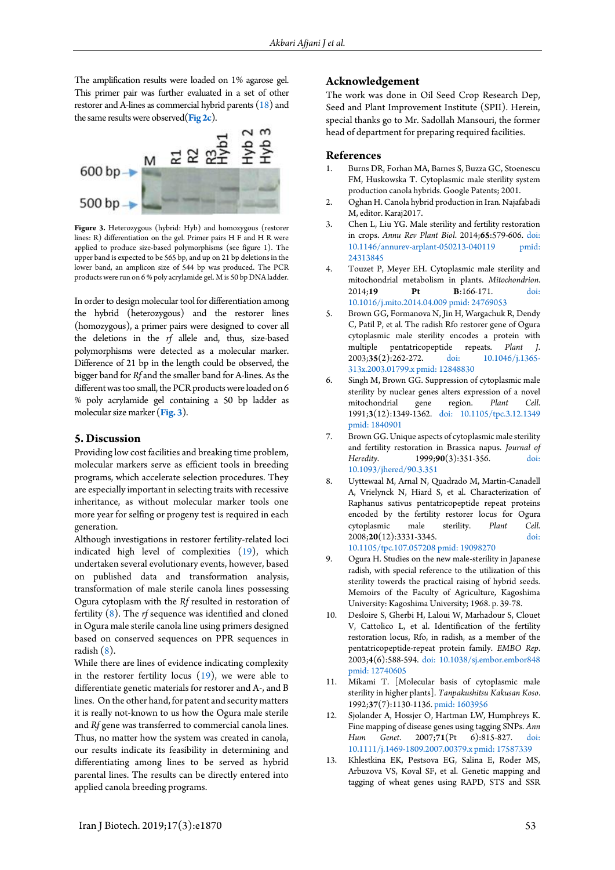The amplification results were loaded on 1% agarose gel. This primer pair was further evaluated in a set of other restorer and A-lines as commercial hybrid parents [\(18\)](#page-4-3) and the same results were observed(**[Fig 2c](#page-1-1)**).



**Figure 3.** Heterozygous (hybrid: Hyb) and homozygous (restorer lines: R) differentiation on the gel. Primer pairs H F and H R were applied to produce size-based polymorphisms (see figure 1). The upper band is expected to be 565 bp, and up on 21 bp deletions in the lower band, an amplicon size of 544 bp was produced. The PCR products were run on 6 % poly acrylamide gel. M is 50 bp DNA ladder.

In order to design molecular tool for differentiation among the hybrid (heterozygous) and the restorer lines (homozygous), a primer pairs were designed to cover all the deletions in the *rf* allele and, thus, size-based polymorphisms were detected as a molecular marker. Difference of 21 bp in the length could be observed, the bigger band for *Rf* and the smaller band for A-lines. As the different was too small, the PCR products were loaded on 6 % poly acrylamide gel containing a 50 bp ladder as molecular size marker (**Fig. 3**).

# **5. Discussion**

Providing low cost facilities and breaking time problem, molecular markers serve as efficient tools in breeding programs, which accelerate selection procedures. They are especially important in selecting traits with recessive inheritance, as without molecular marker tools one more year for selfing or progeny test is required in each generation.

Although investigations in restorer fertility-related loci indicated high level of complexities [\(19\)](#page-4-4), which undertaken several evolutionary events, however, based on published data and transformation analysis, transformation of male sterile canola lines possessing Ogura cytoplasm with the *Rf* resulted in restoration of fertility [\(8\)](#page-3-5). The *rf* sequence was identified and cloned in Ogura male sterile canola line using primers designed based on conserved sequences on PPR sequences in radish [\(8\)](#page-3-5).

While there are lines of evidence indicating complexity in the restorer fertility locus [\(19\)](#page-4-4), we were able to differentiate genetic materials for restorer and A-, and B lines. On the other hand, for patent and security matters it is really not-known to us how the Ogura male sterile and *Rf* gene was transferred to commercial canola lines. Thus, no matter how the system was created in canola, our results indicate its feasibility in determining and differentiating among lines to be served as hybrid parental lines. The results can be directly entered into applied canola breeding programs.

# **Acknowledgement**

The work was done in Oil Seed Crop Research Dep, Seed and Plant Improvement Institute (SPII). Herein, special thanks go to Mr. Sadollah Mansouri, the former head of department for preparing required facilities.

#### **References**

- <span id="page-3-0"></span>1. Burns DR, Forhan MA, Barnes S, Buzza GC, Stoenescu FM, Huskowska T. Cytoplasmic male sterility system production canola hybrids. Google Patents; 2001.
- <span id="page-3-1"></span>2. Oghan H. Canola hybrid production in Iran. Najafabadi M, editor. Karaj2017.
- <span id="page-3-2"></span>3. Chen L, Liu YG. Male sterility and fertility restoration in crops. *Annu Rev Plant Biol*. 2014;**65**:579-606. [doi:](http://dx.doi.org/10.1146/annurev-arplant-050213-040119)  [10.1146/annurev-arplant-050213-040119](http://dx.doi.org/10.1146/annurev-arplant-050213-040119) [24313845](http://ncbi.nlm.nih.gov/pubmed/24313845)
- <span id="page-3-3"></span>4. Touzet P, Meyer EH. Cytoplasmic male sterility and mitochondrial metabolism in plants. *Mitochondrion*. 2014:19 Pt B:166-171. [10.1016/j.mito.2014.04.009](http://dx.doi.org/10.1016/j.mito.2014.04.009) [pmid: 24769053](http://ncbi.nlm.nih.gov/pubmed/24769053)
- <span id="page-3-4"></span>5. Brown GG, Formanova N, Jin H, Wargachuk R, Dendy C, Patil P, et al. The radish Rfo restorer gene of Ogura cytoplasmic male sterility encodes a protein with multiple pentatricopeptide repeats. Plant 2003;**35**(2):262-272. [doi: 10.1046/j.1365-](http://dx.doi.org/10.1046/j.1365-313x.2003.01799.x) [313x.2003.01799.x](http://dx.doi.org/10.1046/j.1365-313x.2003.01799.x) [pmid: 12848830](http://ncbi.nlm.nih.gov/pubmed/12848830)
- 6. Singh M, Brown GG. Suppression of cytoplasmic male sterility by nuclear genes alters expression of a novel mitochondrial gene region. *Plant Cell*. 1991;**3**(12):1349-1362. [doi: 10.1105/tpc.3.12.1349](http://dx.doi.org/10.1105/tpc.3.12.1349) [pmid: 1840901](http://ncbi.nlm.nih.gov/pubmed/1840901)
- 7. Brown GG. Unique aspects of cytoplasmic male sterility and fertility restoration in Brassica napus. *Journal of Heredity*. 1999;**90**(3):351-356. [doi:](http://dx.doi.org/10.1093/jhered/90.3.351)  [10.1093/jhered/90.3.351](http://dx.doi.org/10.1093/jhered/90.3.351)
- <span id="page-3-5"></span>8. Uyttewaal M, Arnal N, Quadrado M, Martin-Canadell A, Vrielynck N, Hiard S, et al. Characterization of Raphanus sativus pentatricopeptide repeat proteins encoded by the fertility restorer locus for Ogura<br>cytoplasmic male sterility. Plant Cell. cytoplasmic male sterility. *Plant Cell.*<br>2008;20(12):3331-3345. doi: 2008;20(12):3331-3345. [10.1105/tpc.107.057208](http://dx.doi.org/10.1105/tpc.107.057208) [pmid: 19098270](http://ncbi.nlm.nih.gov/pubmed/19098270)
- <span id="page-3-6"></span>9. Ogura H. Studies on the new male-sterility in Japanese radish, with special reference to the utilization of this sterility towerds the practical raising of hybrid seeds. Memoirs of the Faculty of Agriculture, Kagoshima University: Kagoshima University; 1968. p. 39-78.
- <span id="page-3-7"></span>10. Desloire S, Gherbi H, Laloui W, Marhadour S, Clouet V, Cattolico L, et al. Identification of the fertility restoration locus, Rfo, in radish, as a member of the pentatricopeptide-repeat protein family. *EMBO Rep*. 2003;**4**(6):588-594. [doi: 10.1038/sj.embor.embor848](http://dx.doi.org/10.1038/sj.embor.embor848) [pmid: 12740605](http://ncbi.nlm.nih.gov/pubmed/12740605)
- <span id="page-3-8"></span>11. Mikami T. [Molecular basis of cytoplasmic male sterility in higher plants]. *Tanpakushitsu Kakusan Koso*. 1992;**37**(7):1130-1136[. pmid: 1603956](http://ncbi.nlm.nih.gov/pubmed/1603956)
- <span id="page-3-9"></span>12. Sjolander A, Hossjer O, Hartman LW, Humphreys K. Fine mapping of disease genes using tagging SNPs. *Ann Hum Genet*. 2007;**71**(Pt 6):815-827. [doi:](http://dx.doi.org/10.1111/j.1469-1809.2007.00379.x)  [10.1111/j.1469-1809.2007.00379.x](http://dx.doi.org/10.1111/j.1469-1809.2007.00379.x) [pmid: 17587339](http://ncbi.nlm.nih.gov/pubmed/17587339)
- 13. Khlestkina EK, Pestsova EG, Salina E, Roder MS, Arbuzova VS, Koval SF, et al. Genetic mapping and tagging of wheat genes using RAPD, STS and SSR